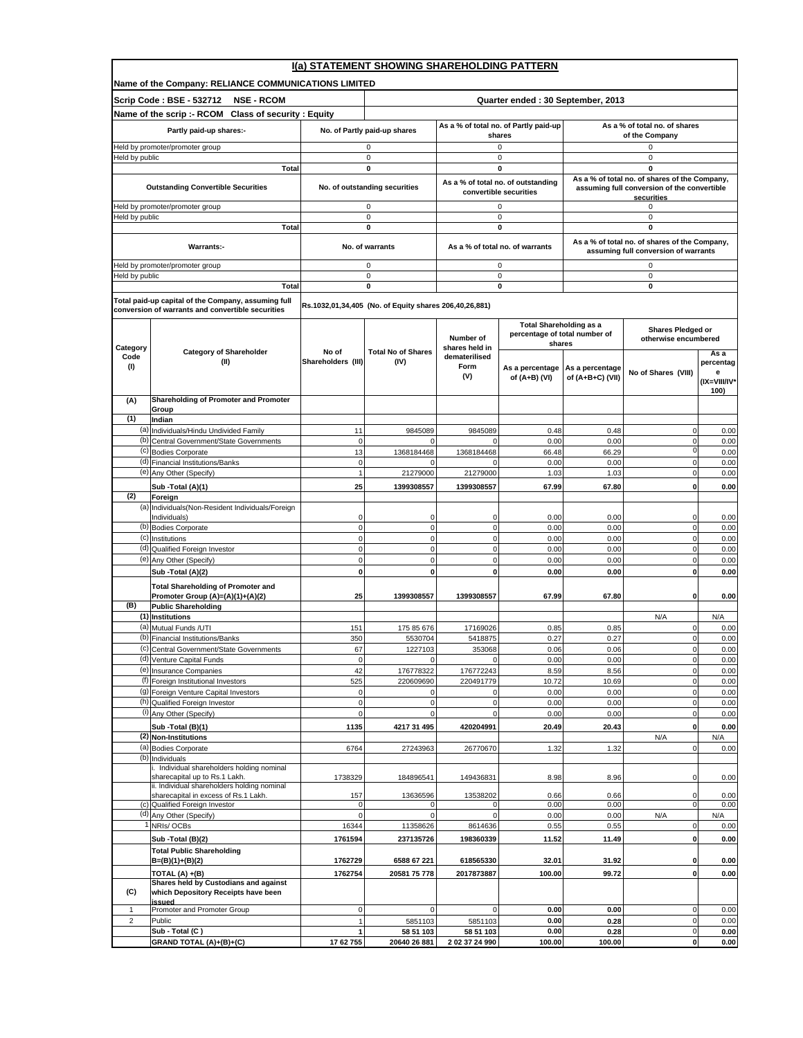|                         | I(a) STATEMENT SHOWING SHAREHOLDING PATTERN                                                              |                                |                                                        |                                   |                                                              |                  |                                                                                       |                   |  |
|-------------------------|----------------------------------------------------------------------------------------------------------|--------------------------------|--------------------------------------------------------|-----------------------------------|--------------------------------------------------------------|------------------|---------------------------------------------------------------------------------------|-------------------|--|
|                         | Name of the Company: RELIANCE COMMUNICATIONS LIMITED                                                     |                                |                                                        |                                   |                                                              |                  |                                                                                       |                   |  |
|                         | Scrip Code: BSE - 532712<br><b>NSE - RCOM</b>                                                            |                                |                                                        | Quarter ended: 30 September, 2013 |                                                              |                  |                                                                                       |                   |  |
|                         | Name of the scrip :- RCOM Class of security : Equity                                                     |                                |                                                        |                                   |                                                              |                  |                                                                                       |                   |  |
|                         | Partly paid-up shares:-                                                                                  |                                | No. of Partly paid-up shares                           |                                   | As a % of total no. of Partly paid-up<br>shares              |                  | As a % of total no. of shares<br>of the Company                                       |                   |  |
|                         | Held by promoter/promoter group                                                                          |                                | 0                                                      |                                   | 0                                                            |                  | 0                                                                                     |                   |  |
| Held by public          |                                                                                                          |                                | $\mathsf 0$                                            | 0                                 |                                                              |                  | $\mathsf 0$                                                                           |                   |  |
|                         | <b>Total</b>                                                                                             |                                | $\mathbf 0$                                            |                                   | 0                                                            |                  | $\mathbf 0$<br>As a % of total no. of shares of the Company,                          |                   |  |
|                         | <b>Outstanding Convertible Securities</b>                                                                |                                | No. of outstanding securities                          |                                   | As a % of total no. of outstanding<br>convertible securities |                  | assuming full conversion of the convertible                                           |                   |  |
|                         | Held by promoter/promoter group                                                                          |                                | 0                                                      |                                   | 0                                                            |                  | securities<br>0                                                                       |                   |  |
| Held by public          |                                                                                                          |                                | 0                                                      |                                   | 0                                                            |                  | $\mathbf 0$                                                                           |                   |  |
|                         | Total                                                                                                    |                                | 0                                                      |                                   | 0                                                            |                  | 0                                                                                     |                   |  |
|                         | Warrants:-                                                                                               |                                | No. of warrants                                        |                                   | As a % of total no. of warrants                              |                  | As a % of total no. of shares of the Company,<br>assuming full conversion of warrants |                   |  |
|                         | Held by promoter/promoter group                                                                          |                                | 0                                                      |                                   | 0                                                            |                  | 0                                                                                     |                   |  |
| Held by public          |                                                                                                          |                                | 0                                                      |                                   | 0                                                            |                  | 0                                                                                     |                   |  |
|                         | Total                                                                                                    |                                | $\mathbf 0$                                            |                                   | 0                                                            |                  | $\mathbf 0$                                                                           |                   |  |
|                         | Total paid-up capital of the Company, assuming full<br>conversion of warrants and convertible securities |                                | Rs.1032,01,34,405 (No. of Equity shares 206,40,26,881) |                                   |                                                              |                  |                                                                                       |                   |  |
|                         |                                                                                                          |                                |                                                        |                                   | <b>Total Shareholding as a</b>                               |                  |                                                                                       |                   |  |
|                         |                                                                                                          |                                |                                                        | Number of                         | percentage of total number of                                |                  | Shares Pledged or<br>otherwise encumbered                                             |                   |  |
| Category                | <b>Category of Shareholder</b>                                                                           | No of                          | <b>Total No of Shares</b>                              | shares held in                    | shares                                                       |                  |                                                                                       | Asa               |  |
| Code<br>(1)             | (II)                                                                                                     | Shareholders (III)             | (IV)                                                   | dematerilised<br>Form             | As a percentage                                              | As a percentage  |                                                                                       | percentag         |  |
|                         |                                                                                                          |                                |                                                        | (V)                               | of (A+B) (VI)                                                | of (A+B+C) (VII) | No of Shares (VIII)                                                                   | е<br>(IX=VIII/IV* |  |
|                         |                                                                                                          |                                |                                                        |                                   |                                                              |                  |                                                                                       | 100)              |  |
| (A)                     | Shareholding of Promoter and Promoter<br>Group                                                           |                                |                                                        |                                   |                                                              |                  |                                                                                       |                   |  |
| (1)                     | Indian                                                                                                   |                                |                                                        |                                   |                                                              |                  |                                                                                       |                   |  |
| (b)                     | (a) Individuals/Hindu Undivided Family<br>Central Government/State Governments                           | 11<br>$\mathbf 0$              | 9845089<br>$\Omega$                                    | 9845089                           | 0.48<br>0.00                                                 | 0.48<br>0.00     | 0<br>$\mathbf 0$                                                                      | 0.00<br>0.00      |  |
|                         | (c) Bodies Corporate                                                                                     | 13                             | 1368184468                                             | 1368184468                        | 66.48                                                        | 66.29            | $\mathbf 0$                                                                           | 0.00              |  |
|                         | (d) Financial Institutions/Banks                                                                         | $\mathbf 0$                    |                                                        | $\Omega$                          | 0.00                                                         | 0.00             | $\mathbf 0$                                                                           | 0.00              |  |
|                         | (e) Any Other (Specify)                                                                                  | $\overline{1}$                 | 21279000                                               | 21279000                          | 1.03                                                         | 1.03             | $\pmb{0}$<br>$\mathbf 0$                                                              | 0.00              |  |
| (2)                     | Sub -Total (A)(1)<br>Foreign                                                                             | 25                             | 1399308557                                             | 1399308557                        | 67.99                                                        | 67.80            |                                                                                       | 0.00              |  |
| (a)                     | Individuals (Non-Resident Individuals/Foreign                                                            |                                |                                                        |                                   |                                                              |                  |                                                                                       |                   |  |
|                         | Individuals)<br>(b) Bodies Corporate                                                                     | $\mathbf 0$<br>$\mathbf 0$     | $\Omega$<br>$\mathbf 0$                                | $\Omega$<br>$\mathbf 0$           | 0.00<br>0.00                                                 | 0.00<br>0.00     | 0<br>$\mathbf 0$                                                                      | 0.00<br>0.00      |  |
|                         | (c) Institutions                                                                                         | $\pmb{0}$                      | $\pmb{0}$                                              | $\mathbf 0$                       | 0.00                                                         | 0.00             | $\pmb{0}$                                                                             | 0.00              |  |
|                         | (d) Qualified Foreign Investor                                                                           | $\mathbf 0$                    | $\mathbf{0}$                                           | $\mathbf 0$                       | 0.00                                                         | 0.00             | $\mathbf 0$                                                                           | 0.00              |  |
|                         | (e) Any Other (Specify)<br>Sub -Total (A)(2)                                                             | $\mathbf 0$<br>$\mathbf 0$     | $\mathbf 0$<br>0                                       | $\mathbf 0$<br>0                  | 0.00<br>0.00                                                 | 0.00<br>0.00     | $\mathbf 0$<br>$\pmb{0}$                                                              | 0.00<br>0.00      |  |
|                         | <b>Total Shareholding of Promoter and</b>                                                                |                                |                                                        |                                   |                                                              |                  |                                                                                       |                   |  |
|                         | Promoter Group (A)=(A)(1)+(A)(2)                                                                         | 25                             | 1399308557                                             | 1399308557                        | 67.99                                                        | 67.80            | 0                                                                                     | 0.00              |  |
| (B)                     | <b>Public Shareholding</b>                                                                               |                                |                                                        |                                   |                                                              |                  |                                                                                       |                   |  |
| (a)                     | (1) Institutions<br>Mutual Funds /UTI                                                                    | 151                            | 175 85 676                                             | 17169026                          | 0.85                                                         | 0.85             | N/A<br>$\mathbf 0$                                                                    | N/A<br>0.00       |  |
|                         | (b) Financial Institutions/Banks                                                                         | 350                            | 5530704                                                | 5418875                           | 0.27                                                         | 0.27             | $\pmb{0}$                                                                             | 0.00              |  |
|                         | (c) Central Government/State Governments<br>(d) Venture Capital Funds                                    | 67<br>$\pmb{0}$                | 1227103<br>$\mathbf 0$                                 | 353068<br>$\mathbf 0$             | 0.06<br>0.00                                                 | 0.06<br>0.00     | υ<br>$\mathbf 0$                                                                      | 0.00<br>0.00      |  |
|                         | (e) Insurance Companies                                                                                  | 42                             | 176778322                                              | 176772243                         | 8.59                                                         | 8.56             | $\pmb{0}$                                                                             | 0.00              |  |
|                         | (f) Foreign Institutional Investors                                                                      | 525                            | 220609690                                              | 220491779                         | 10.72                                                        | 10.69            | $\pmb{0}$                                                                             | 0.00              |  |
|                         | (g) Foreign Venture Capital Investors<br>(h) Qualified Foreign Investor                                  | $\pmb{0}$<br>$\mathbf 0$       | 0<br>$\pmb{0}$                                         | $\mathbf 0$                       | 0.00<br>0.00                                                 | 0.00<br>0.00     | $\mathbf 0$<br>$\mathbf 0$                                                            | 0.00<br>0.00      |  |
|                         | (i) Any Other (Specify)                                                                                  | $\mathsf 0$                    | 0                                                      | $\mathbf 0$                       | 0.00                                                         | 0.00             | $\mathbf 0$                                                                           | 0.00              |  |
|                         | Sub -Total (B)(1)                                                                                        | 1135                           | 4217 31 495                                            | 420204991                         | 20.49                                                        | 20.43            | $\pmb{0}$                                                                             | 0.00              |  |
|                         | (2) Non-Institutions                                                                                     |                                |                                                        |                                   |                                                              |                  | N/A                                                                                   | N/A               |  |
| (b)                     | (a) Bodies Corporate<br>Individuals                                                                      | 6764                           | 27243963                                               | 26770670                          | 1.32                                                         | 1.32             | $\pmb{0}$                                                                             | 0.00              |  |
|                         | . Individual shareholders holding nominal                                                                |                                |                                                        |                                   |                                                              |                  |                                                                                       |                   |  |
|                         | sharecapital up to Rs.1 Lakh.<br>ii. Individual shareholders holding nominal                             | 1738329                        | 184896541                                              | 149436831                         | 8.98                                                         | 8.96             | 0                                                                                     | 0.00              |  |
|                         | sharecapital in excess of Rs.1 Lakh.                                                                     | 157                            | 13636596                                               | 13538202                          | 0.66                                                         | 0.66             | 0                                                                                     | 0.00              |  |
| (d)                     | (c) Qualified Foreign Investor<br>Any Other (Specify)                                                    | 0<br>$\mathbf 0$               | $\mathbf 0$<br>$\Omega$                                | $\mathbf 0$<br>$\Omega$           | 0.00<br>0.00                                                 | 0.00<br>0.00     | $\mathbf 0$<br>N/A                                                                    | 0.00<br>N/A       |  |
|                         | NRIs/OCBs                                                                                                | 16344                          | 11358626                                               | 8614636                           | 0.55                                                         | 0.55             | 0                                                                                     | 0.00              |  |
|                         | Sub -Total (B)(2)                                                                                        | 1761594                        | 237135726                                              | 198360339                         | 11.52                                                        | 11.49            | $\mathbf 0$                                                                           | 0.00              |  |
|                         | <b>Total Public Shareholding</b><br>$B=(B)(1)+(B)(2)$                                                    | 1762729                        | 6588 67 221                                            | 618565330                         | 32.01                                                        | 31.92            | $\mathbf 0$                                                                           | 0.00              |  |
|                         | TOTAL (A) +(B)                                                                                           | 1762754                        | 20581 75 778                                           | 2017873887                        | 100.00                                                       | 99.72            | 0                                                                                     | 0.00              |  |
|                         | Shares held by Custodians and against                                                                    |                                |                                                        |                                   |                                                              |                  |                                                                                       |                   |  |
| (C)                     | which Depository Receipts have been<br>issued                                                            |                                |                                                        |                                   |                                                              |                  |                                                                                       |                   |  |
| 1                       | Promoter and Promoter Group<br>Public                                                                    | 0                              | 0                                                      | $\mathbf 0$                       | 0.00                                                         | 0.00             | 0<br>$\pmb{0}$                                                                        | 0.00              |  |
| $\overline{\mathbf{c}}$ | Sub - Total (C)                                                                                          | $\overline{1}$<br>$\mathbf{1}$ | 5851103<br>58 51 103                                   | 5851103<br>58 51 103              | 0.00<br>0.00                                                 | 0.28<br>0.28     | $\mathbf 0$                                                                           | 0.00<br>0.00      |  |
|                         | GRAND TOTAL (A)+(B)+(C)                                                                                  | 17 62 755                      | 20640 26 881                                           | 2 02 37 24 990                    | 100.00                                                       | 100.00           | $\mathbf 0$                                                                           | 0.00              |  |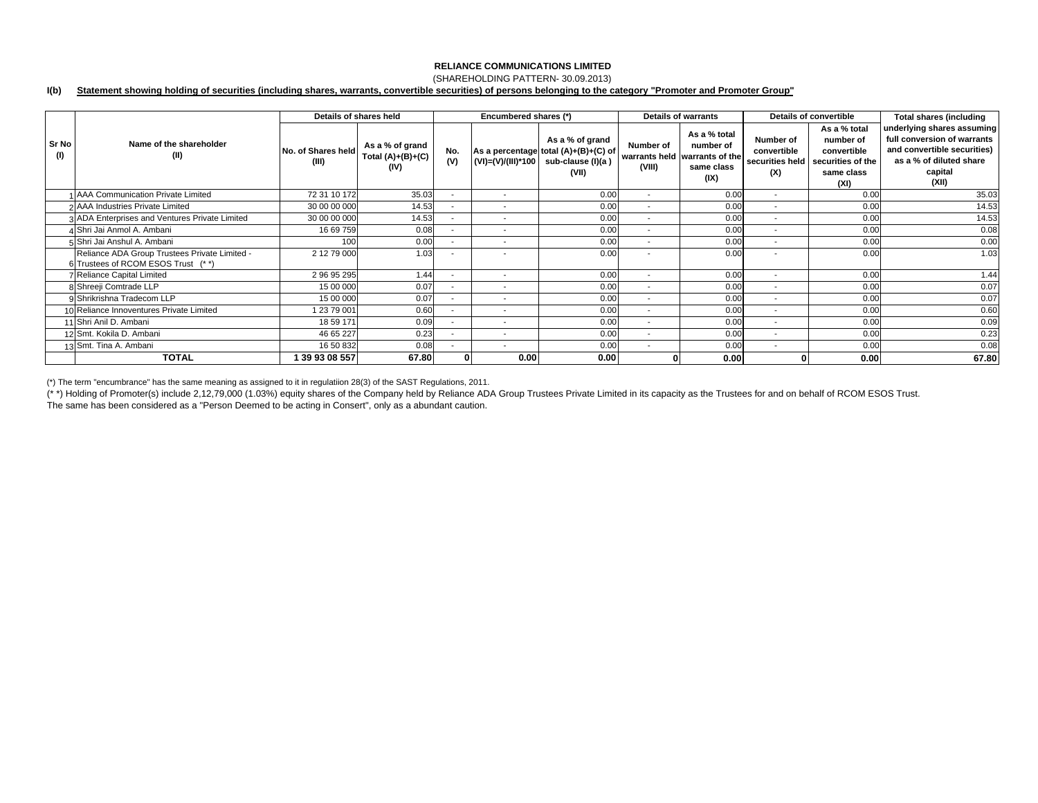### (SHAREHOLDING PATTERN- 30.09.2013)

#### **I(b) Statement showing holding of securities (including shares, warrants, convertible securities) of persons belonging to the category "Promoter and Promoter Group"**

|              |                                                                                      |                             | Details of shares held                         |                          | Encumbered shares (*)    |                                                                                       |                          | <b>Details of warrants</b>                                                       |                                                    | Details of convertible                                                              | <b>Total shares (including</b>                                                                                                          |
|--------------|--------------------------------------------------------------------------------------|-----------------------------|------------------------------------------------|--------------------------|--------------------------|---------------------------------------------------------------------------------------|--------------------------|----------------------------------------------------------------------------------|----------------------------------------------------|-------------------------------------------------------------------------------------|-----------------------------------------------------------------------------------------------------------------------------------------|
| Sr No<br>(1) | Name of the shareholder<br>(II)                                                      | No. of Shares held<br>(III) | As a % of grand<br>Total $(A)+(B)+(C)$<br>(IV) | No.<br>(V)               | (VI)=(V)/(III)*100       | As a % of grand<br>As a percentage total (A)+(B)+(C) of<br>sub-clause (I)(a)<br>(VII) | Number of<br>(VIII)      | As a % total<br>number of<br>warrants held warrants of the<br>same class<br>(IX) | Number of<br>convertible<br>securities held<br>(X) | As a % total<br>number of<br>convertible<br>securities of the<br>same class<br>(XI) | underlying shares assuming<br>full conversion of warrants<br>and convertible securities)<br>as a % of diluted share<br>capital<br>(XII) |
|              | 1 AAA Communication Private Limited                                                  | 72 31 10 172                | 35.03                                          |                          | $\overline{\phantom{a}}$ | 0.00                                                                                  | $\overline{\phantom{a}}$ | 0.00                                                                             | $\overline{\phantom{a}}$                           | 0.00                                                                                | 35.03                                                                                                                                   |
|              | 2 AAA Industries Private Limited                                                     | 30 00 00 000                | 14.53                                          |                          | $\overline{\phantom{a}}$ | 0.00                                                                                  | $\sim$                   | 0.00                                                                             |                                                    | 0.00                                                                                | 14.53                                                                                                                                   |
|              | 3 ADA Enterprises and Ventures Private Limited                                       | 30 00 00 000                | 14.53                                          | ۰.                       | $\overline{\phantom{a}}$ | 0.00                                                                                  | $\sim$                   | 0.00                                                                             | $\overline{\phantom{a}}$                           | 0.00                                                                                | 14.53                                                                                                                                   |
|              | 4 Shri Jai Anmol A. Ambani                                                           | 16 69 759                   | 0.08                                           |                          | $\overline{\phantom{a}}$ | 0.00                                                                                  | $\sim$                   | 0.00                                                                             | $\overline{\phantom{a}}$                           | 0.00                                                                                | 0.08                                                                                                                                    |
|              | 5 Shri Jai Anshul A. Ambani                                                          | 100                         | 0.00                                           |                          | $\overline{\phantom{a}}$ | 0.00                                                                                  |                          | 0.00                                                                             |                                                    | 0.00                                                                                | 0.00                                                                                                                                    |
|              | Reliance ADA Group Trustees Private Limited -<br>6 Trustees of RCOM ESOS Trust (* *) | 2 12 79 000                 | 1.03                                           |                          | $\overline{\phantom{a}}$ | 0.00                                                                                  |                          | 0.00                                                                             | $\overline{\phantom{a}}$                           | 0.00                                                                                | 1.03                                                                                                                                    |
|              | <b>7</b> Reliance Capital Limited                                                    | 2 96 95 295                 | 1.44                                           |                          | $\sim$                   | 0.00                                                                                  | $\sim$                   | 0.00                                                                             | $\overline{\phantom{a}}$                           | 0.00                                                                                | 1.44                                                                                                                                    |
|              | 8 Shreeji Comtrade LLP                                                               | 15 00 000                   | 0.07                                           |                          | $\overline{\phantom{a}}$ | 0.00                                                                                  | $\overline{\phantom{a}}$ | 0.00                                                                             | $\overline{\phantom{a}}$                           | 0.00                                                                                | 0.07                                                                                                                                    |
|              | 9 Shrikrishna Tradecom LLP                                                           | 15 00 000                   | 0.07                                           |                          | $\overline{\phantom{a}}$ | 0.00                                                                                  | $\overline{\phantom{a}}$ | 0.00                                                                             | $\overline{\phantom{a}}$                           | 0.00                                                                                | 0.07                                                                                                                                    |
|              | 10 Reliance Innoventures Private Limited                                             | 1 23 79 001                 | 0.60                                           |                          | $\overline{\phantom{a}}$ | 0.00                                                                                  | $\sim$                   | 0.00                                                                             | $\overline{\phantom{a}}$                           | 0.00                                                                                | 0.60                                                                                                                                    |
|              | 11 Shri Anil D. Ambani                                                               | 18 59 171                   | 0.09                                           | $\overline{\phantom{a}}$ | $\overline{\phantom{a}}$ | 0.00                                                                                  | $\sim$                   | 0.00                                                                             | $\overline{\phantom{a}}$                           | 0.00                                                                                | 0.09                                                                                                                                    |
|              | 12 Smt. Kokila D. Ambani                                                             | 46 65 227                   | 0.23                                           |                          | $\overline{\phantom{a}}$ | 0.00                                                                                  | $\sim$                   | 0.00                                                                             | $\overline{\phantom{a}}$                           | 0.00                                                                                | 0.23                                                                                                                                    |
|              | 13 Smt. Tina A. Ambani                                                               | 16 50 832                   | 0.08                                           |                          | $\overline{\phantom{a}}$ | 0.00                                                                                  | ۰.                       | 0.00                                                                             | $\overline{\phantom{a}}$                           | 0.00                                                                                | 0.08                                                                                                                                    |
|              | <b>TOTAL</b>                                                                         | 39 93 08 557                | 67.80                                          |                          | 0.00                     | 0.00                                                                                  |                          | 0.00                                                                             |                                                    | 0.00                                                                                | 67.80                                                                                                                                   |

(\*) The term "encumbrance" has the same meaning as assigned to it in regulatiion 28(3) of the SAST Regulations, 2011.

(\* \*) Holding of Promoter(s) include 2,12,79,000 (1.03%) equity shares of the Company held by Reliance ADA Group Trustees Private Limited in its capacity as the Trustees for and on behalf of RCOM ESOS Trust.

The same has been considered as a "Person Deemed to be acting in Consert", only as a abundant caution.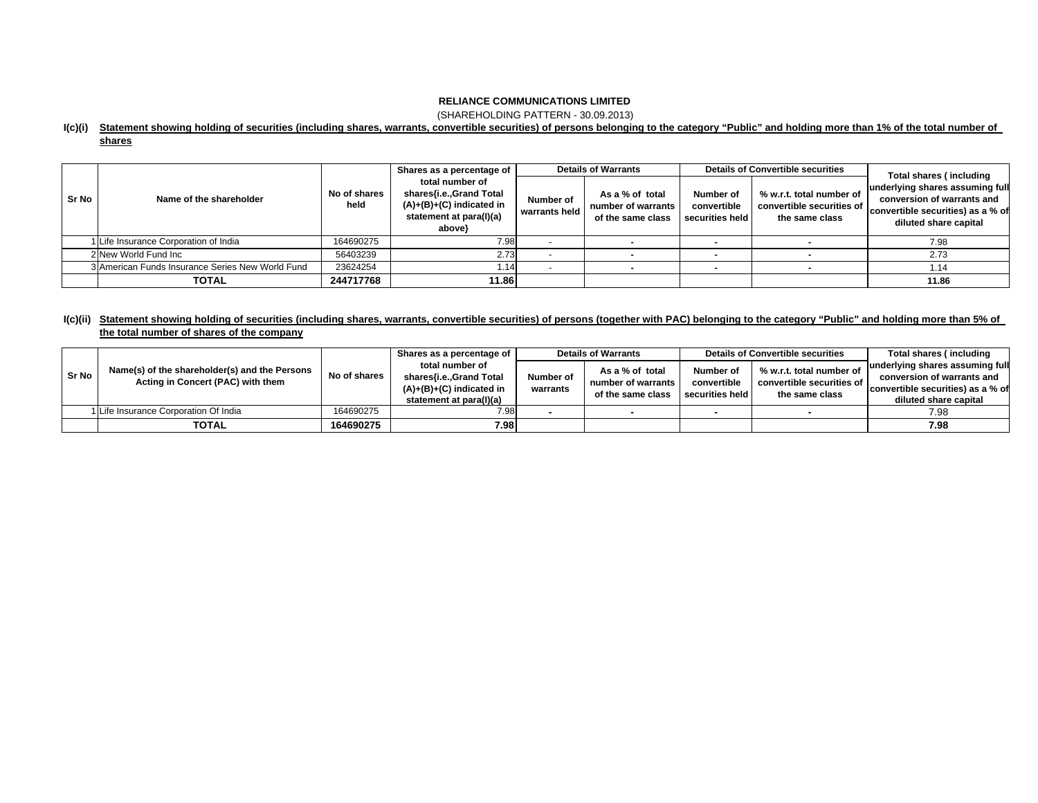(SHAREHOLDING PATTERN - 30.09.2013)

### **I(c)(i) Statement showing holding of securities (including shares, warrants, convertible securities) of persons belonging to the category "Public" and holding more than 1% of the total number of**

| . .<br>ш<br>. . |  |
|-----------------|--|
|                 |  |

|       |                                                  |                      | Shares as a percentage of                                                                                     | <b>Details of Warrants</b> |                                                            | <b>Details of Convertible securities</b>    |                                                                         | Total shares (including                                                                                                     |  |
|-------|--------------------------------------------------|----------------------|---------------------------------------------------------------------------------------------------------------|----------------------------|------------------------------------------------------------|---------------------------------------------|-------------------------------------------------------------------------|-----------------------------------------------------------------------------------------------------------------------------|--|
| Sr No | Name of the shareholder                          | No of shares<br>held | total number of<br>shares{i.e.,Grand Total<br>$(A)+(B)+(C)$ indicated in<br>statement at para(I)(a)<br>above} | Number of<br>warrants held | As a % of total<br>number of warrants<br>of the same class | Number of<br>convertible<br>securities held | % w.r.t. total number of<br>convertible securities of<br>the same class | underlying shares assuming full<br>conversion of warrants and<br>convertible securities) as a % of<br>diluted share capital |  |
|       | 1 Life Insurance Corporation of India            | 164690275            | 7.98                                                                                                          |                            |                                                            |                                             |                                                                         | 7.98                                                                                                                        |  |
|       | 2 New World Fund Inc                             | 56403239             | 2.73                                                                                                          |                            |                                                            |                                             |                                                                         | 2.73                                                                                                                        |  |
|       | 3 American Funds Insurance Series New World Fund | 23624254             | 1.14                                                                                                          |                            |                                                            |                                             |                                                                         | 1.14                                                                                                                        |  |
|       | <b>TOTAL</b>                                     | 244717768            | 11.86                                                                                                         |                            |                                                            |                                             |                                                                         | 11.86                                                                                                                       |  |

## l(c)(ii) Statement showing holding of securities (including shares, warrants, convertible securities) of persons (together with PAC) belonging to the category "Public" and holding more than 5% of **the total number of shares of the company**

|       |                                               |              | Shares as a percentage of                                                        | <b>Details of Warrants</b> |                                                            | <b>Details of Convertible securities</b> |                                                                         | Total shares (including                                         |
|-------|-----------------------------------------------|--------------|----------------------------------------------------------------------------------|----------------------------|------------------------------------------------------------|------------------------------------------|-------------------------------------------------------------------------|-----------------------------------------------------------------|
| Sr No | Name(s) of the shareholder(s) and the Persons | No of shares | total number of                                                                  | Number of<br>warrants      | As a % of total<br>number of warrants<br>of the same class | Number of                                | % w.r.t. total number of<br>convertible securities of<br>the same class | underlying shares assuming full                                 |
|       | Acting in Concert (PAC) with them             |              | shares{i.e.,Grand Total<br>$(A)+(B)+(C)$ indicated in<br>statement at para(I)(a) |                            |                                                            | convertible<br>securities held           |                                                                         | conversion of warrants and<br>convertible securities) as a % of |
|       |                                               |              |                                                                                  |                            |                                                            |                                          |                                                                         | diluted share capital                                           |
|       | 1 Life Insurance Corporation Of India         | 164690275    | 7.98                                                                             |                            |                                                            |                                          |                                                                         | 7.98                                                            |
|       | <b>TOTAL</b>                                  | 164690275    | 7.98                                                                             |                            |                                                            |                                          |                                                                         | 7.98                                                            |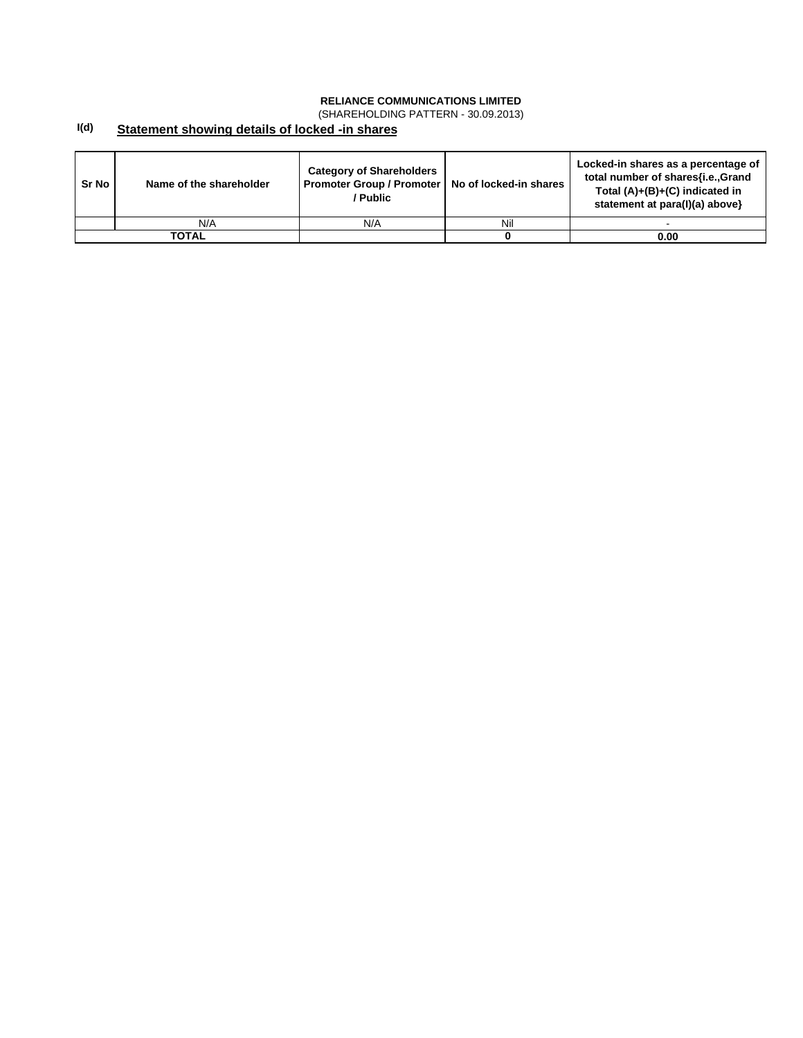(SHAREHOLDING PATTERN - 30.09.2013)

#### **I(d) Statement showing details of locked -in shares**

| Sr No | Name of the shareholder | <b>Category of Shareholders</b><br>Promoter Group / Promoter  <br>/ Public | No of locked-in shares | Locked-in shares as a percentage of<br>total number of shares{i.e.,Grand<br>Total $(A)+(B)+(C)$ indicated in<br>statement at para(I)(a) above} |
|-------|-------------------------|----------------------------------------------------------------------------|------------------------|------------------------------------------------------------------------------------------------------------------------------------------------|
|       | N/A                     | N/A                                                                        | Nil                    |                                                                                                                                                |
|       | <b>TOTAL</b>            |                                                                            |                        | 0.00                                                                                                                                           |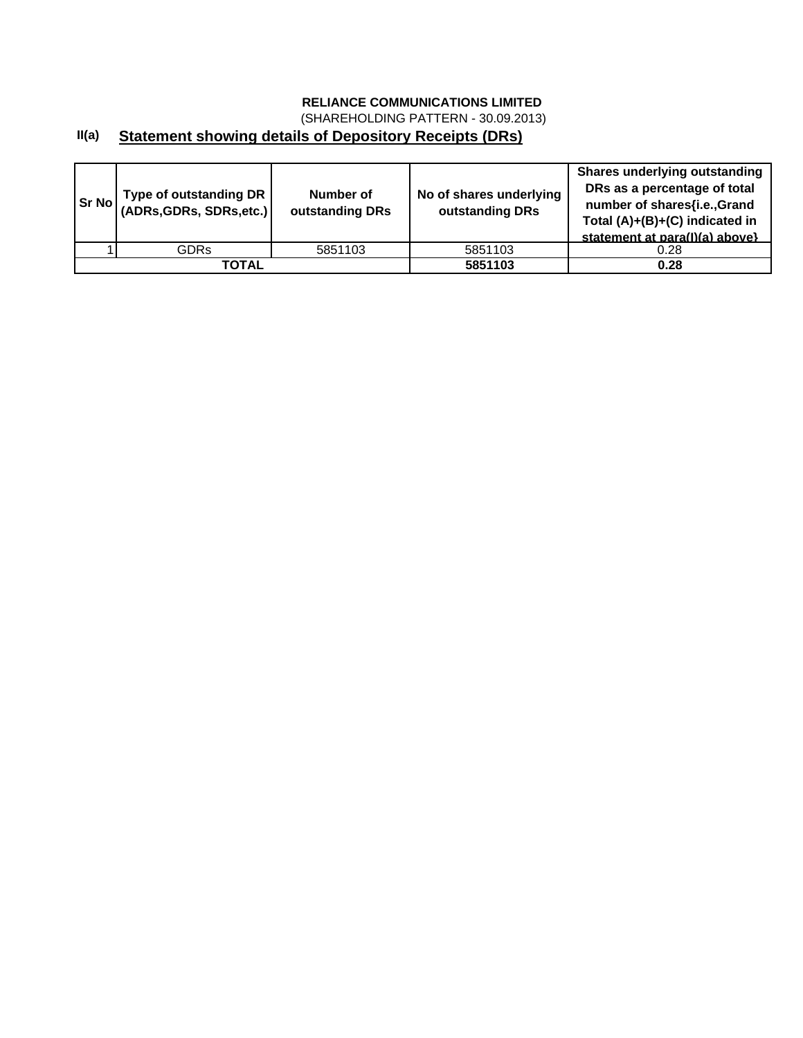(SHAREHOLDING PATTERN - 30.09.2013)

# **II(a) Statement showing details of Depository Receipts (DRs)**

| <b>Sr No</b> | Type of outstanding DR  <br>(ADRs, GDRs, SDRs, etc.) | Number of<br>outstanding DRs | No of shares underlying<br>outstanding DRs | <b>Shares underlying outstanding</b><br>DRs as a percentage of total<br>number of shares{i.e.,Grand<br>Total (A)+(B)+(C) indicated in<br>statement at para(I)(a) above} |
|--------------|------------------------------------------------------|------------------------------|--------------------------------------------|-------------------------------------------------------------------------------------------------------------------------------------------------------------------------|
|              | <b>GDRs</b>                                          | 5851103                      | 5851103                                    | 0.28                                                                                                                                                                    |
|              | ΤΟΤΑL                                                |                              | 5851103                                    | 0.28                                                                                                                                                                    |